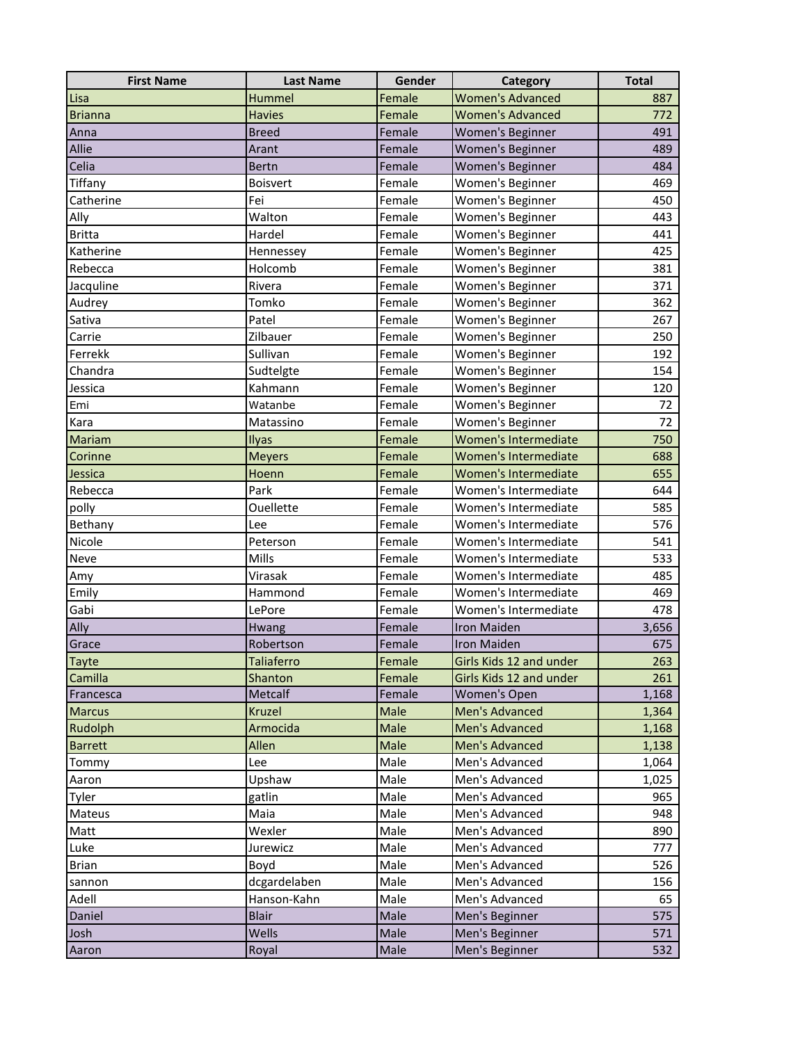| <b>First Name</b> | <b>Last Name</b> | Gender | Category                | <b>Total</b> |
|-------------------|------------------|--------|-------------------------|--------------|
| Lisa              | Hummel           | Female | <b>Women's Advanced</b> | 887          |
| <b>Brianna</b>    | <b>Havies</b>    | Female | <b>Women's Advanced</b> | 772          |
| Anna              | <b>Breed</b>     | Female | Women's Beginner        | 491          |
| Allie             | Arant            | Female | <b>Women's Beginner</b> | 489          |
| Celia             | <b>Bertn</b>     | Female | Women's Beginner        | 484          |
| Tiffany           | <b>Boisvert</b>  | Female | Women's Beginner        | 469          |
| Catherine         | Fei              | Female | Women's Beginner        | 450          |
| Ally              | Walton           | Female | Women's Beginner        | 443          |
| <b>Britta</b>     | Hardel           | Female | Women's Beginner        | 441          |
| Katherine         | Hennessey        | Female | Women's Beginner        | 425          |
| Rebecca           | Holcomb          | Female | Women's Beginner        | 381          |
| Jacquline         | Rivera           | Female | Women's Beginner        | 371          |
| Audrey            | Tomko            | Female | Women's Beginner        | 362          |
| Sativa            | Patel            | Female | Women's Beginner        | 267          |
| Carrie            | Zilbauer         | Female | Women's Beginner        | 250          |
| Ferrekk           | Sullivan         | Female | Women's Beginner        | 192          |
| Chandra           | Sudtelgte        | Female | Women's Beginner        | 154          |
| Jessica           | Kahmann          | Female | Women's Beginner        | 120          |
| Emi               | Watanbe          | Female | Women's Beginner        | 72           |
| Kara              | Matassino        | Female | Women's Beginner        | 72           |
| Mariam            | Ilyas            | Female | Women's Intermediate    | 750          |
| Corinne           | <b>Meyers</b>    | Female | Women's Intermediate    | 688          |
| Jessica           | Hoenn            | Female | Women's Intermediate    | 655          |
| Rebecca           | Park             | Female | Women's Intermediate    | 644          |
| polly             | Ouellette        | Female | Women's Intermediate    | 585          |
| Bethany           | Lee              | Female | Women's Intermediate    | 576          |
| Nicole            | Peterson         | Female | Women's Intermediate    | 541          |
| Neve              | Mills            | Female | Women's Intermediate    | 533          |
| Amy               | Virasak          | Female | Women's Intermediate    | 485          |
| Emily             | Hammond          | Female | Women's Intermediate    | 469          |
| Gabi              | LePore           | Female | Women's Intermediate    | 478          |
| Ally              | Hwang            | Female | <b>Iron Maiden</b>      | 3,656        |
| Grace             | Robertson        | Female | Iron Maiden             | 675          |
| <b>Tayte</b>      | Taliaferro       | Female | Girls Kids 12 and under | 263          |
| Camilla           | Shanton          | Female | Girls Kids 12 and under | 261          |
| Francesca         | Metcalf          | Female | Women's Open            | 1,168        |
| <b>Marcus</b>     | Kruzel           | Male   | Men's Advanced          | 1,364        |
| Rudolph           | Armocida         | Male   | <b>Men's Advanced</b>   | 1,168        |
| <b>Barrett</b>    | Allen            | Male   | Men's Advanced          | 1,138        |
| Tommy             | Lee              | Male   | Men's Advanced          | 1,064        |
| Aaron             | Upshaw           | Male   | Men's Advanced          | 1,025        |
| Tyler             | gatlin           | Male   | Men's Advanced          | 965          |
| Mateus            | Maia             | Male   | Men's Advanced          | 948          |
| Matt              | Wexler           | Male   | Men's Advanced          | 890          |
| Luke              | Jurewicz         | Male   | Men's Advanced          | 777          |
| <b>Brian</b>      | Boyd             | Male   | Men's Advanced          | 526          |
| sannon            | dcgardelaben     | Male   | Men's Advanced          | 156          |
| Adell             | Hanson-Kahn      | Male   | Men's Advanced          | 65           |
| Daniel            | <b>Blair</b>     | Male   | Men's Beginner          | 575          |
| Josh              | Wells            | Male   | Men's Beginner          | 571          |
| Aaron             | Royal            | Male   | Men's Beginner          | 532          |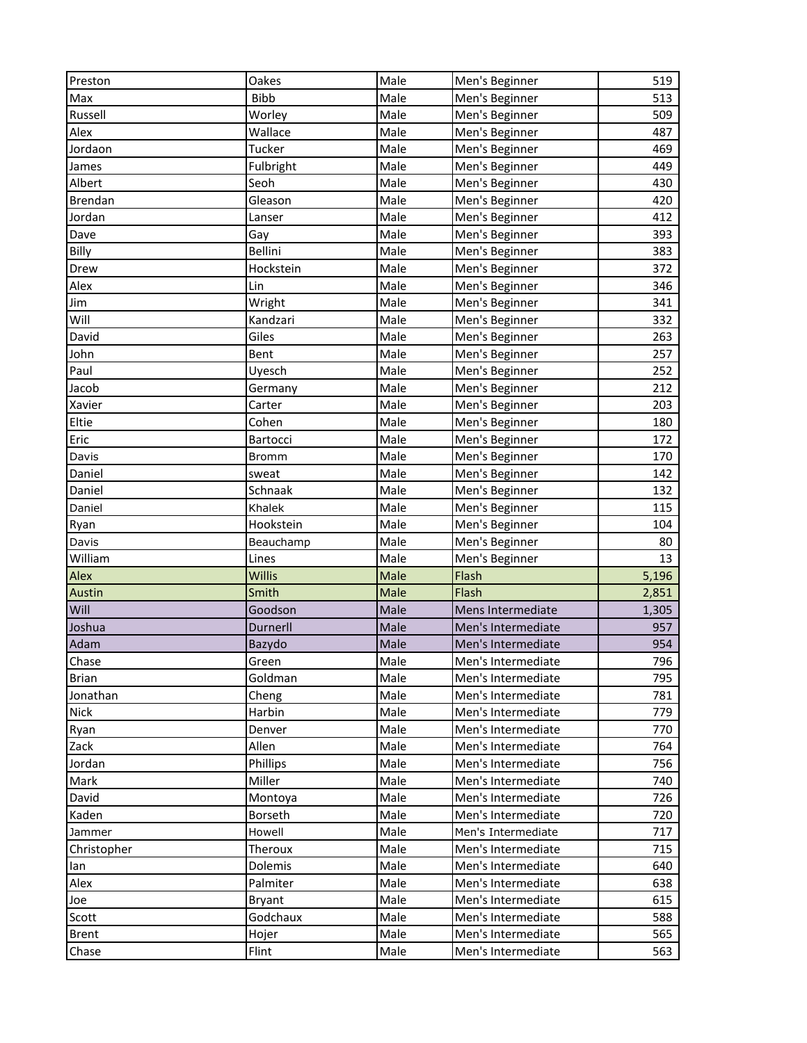| Preston               | Oakes          | Male         | Men's Beginner                           | 519        |
|-----------------------|----------------|--------------|------------------------------------------|------------|
| Max                   | <b>Bibb</b>    | Male         | Men's Beginner                           | 513        |
| Russell               | Worley         | Male         | Men's Beginner                           | 509        |
| Alex                  | Wallace        | Male         | Men's Beginner                           | 487        |
| Jordaon               | Tucker         | Male         | Men's Beginner                           | 469        |
| James                 | Fulbright      | Male         | Men's Beginner                           | 449        |
| Albert                | Seoh           | Male         | Men's Beginner                           | 430        |
| <b>Brendan</b>        | Gleason        | Male         | Men's Beginner                           | 420        |
| Jordan                | Lanser         | Male         | Men's Beginner                           | 412        |
| Dave                  | Gay            | Male         | Men's Beginner                           | 393        |
| Billy                 | Bellini        | Male         | Men's Beginner                           | 383        |
| Drew                  | Hockstein      | Male         | Men's Beginner                           | 372        |
| Alex                  | Lin            | Male         | Men's Beginner                           | 346        |
| Jim                   | Wright         | Male         | Men's Beginner                           | 341        |
| Will                  | Kandzari       | Male         | Men's Beginner                           | 332        |
| David                 | Giles          | Male         | Men's Beginner                           | 263        |
| John                  | Bent           | Male         | Men's Beginner                           | 257        |
| Paul                  | Uyesch         | Male         | Men's Beginner                           | 252        |
| Jacob                 | Germany        | Male         | Men's Beginner                           | 212        |
| Xavier                | Carter         | Male         | Men's Beginner                           | 203        |
| Eltie                 | Cohen          | Male         | Men's Beginner                           | 180        |
| Eric                  | Bartocci       | Male         | Men's Beginner                           | 172        |
| Davis                 | <b>Bromm</b>   | Male         | Men's Beginner                           | 170        |
| Daniel                | sweat          | Male         | Men's Beginner                           | 142        |
| Daniel                | Schnaak        | Male         | Men's Beginner                           | 132        |
| Daniel                | Khalek         | Male         | Men's Beginner                           | 115        |
|                       |                |              |                                          |            |
|                       |                |              |                                          |            |
| Ryan                  | Hookstein      | Male         | Men's Beginner                           | 104        |
| Davis                 | Beauchamp      | Male         | Men's Beginner                           | 80         |
| William               | Lines          | Male         | Men's Beginner                           | 13         |
| Alex                  | Willis         | Male         | Flash                                    | 5,196      |
| Austin                | Smith          | Male         | Flash                                    | 2,851      |
| Will                  | Goodson        | Male         | Mens Intermediate                        | 1,305      |
| Joshua                | Durnerll       | Male         | Men's Intermediate                       | 957        |
| Adam                  | Bazydo         | Male         | Men's Intermediate                       | 954        |
| Chase                 | Green          | Male         | Men's Intermediate                       | 796        |
| <b>Brian</b>          | Goldman        | Male         | Men's Intermediate                       | 795        |
| Jonathan              | Cheng          | Male         | Men's Intermediate                       | 781        |
| <b>Nick</b>           | Harbin         | Male         | Men's Intermediate                       | 779        |
| Ryan                  | Denver         | Male         | Men's Intermediate                       | 770        |
| Zack                  | Allen          | Male         | Men's Intermediate                       | 764        |
| Jordan                | Phillips       | Male         | Men's Intermediate                       | 756        |
| Mark                  | Miller         | Male         | Men's Intermediate                       | 740        |
| David                 | Montoya        | Male         | Men's Intermediate                       | 726        |
| Kaden                 | Borseth        | Male         | Men's Intermediate                       | 720        |
| Jammer                | Howell         | Male         | Men's Intermediate                       | 717        |
| Christopher           | Theroux        | Male         | Men's Intermediate                       | 715        |
| lan                   | Dolemis        | Male         | Men's Intermediate                       | 640        |
| Alex                  | Palmiter       | Male         | Men's Intermediate                       | 638        |
| Joe                   | Bryant         | Male         | Men's Intermediate                       | 615        |
| Scott                 | Godchaux       | Male         | Men's Intermediate                       | 588        |
| <b>Brent</b><br>Chase | Hojer<br>Flint | Male<br>Male | Men's Intermediate<br>Men's Intermediate | 565<br>563 |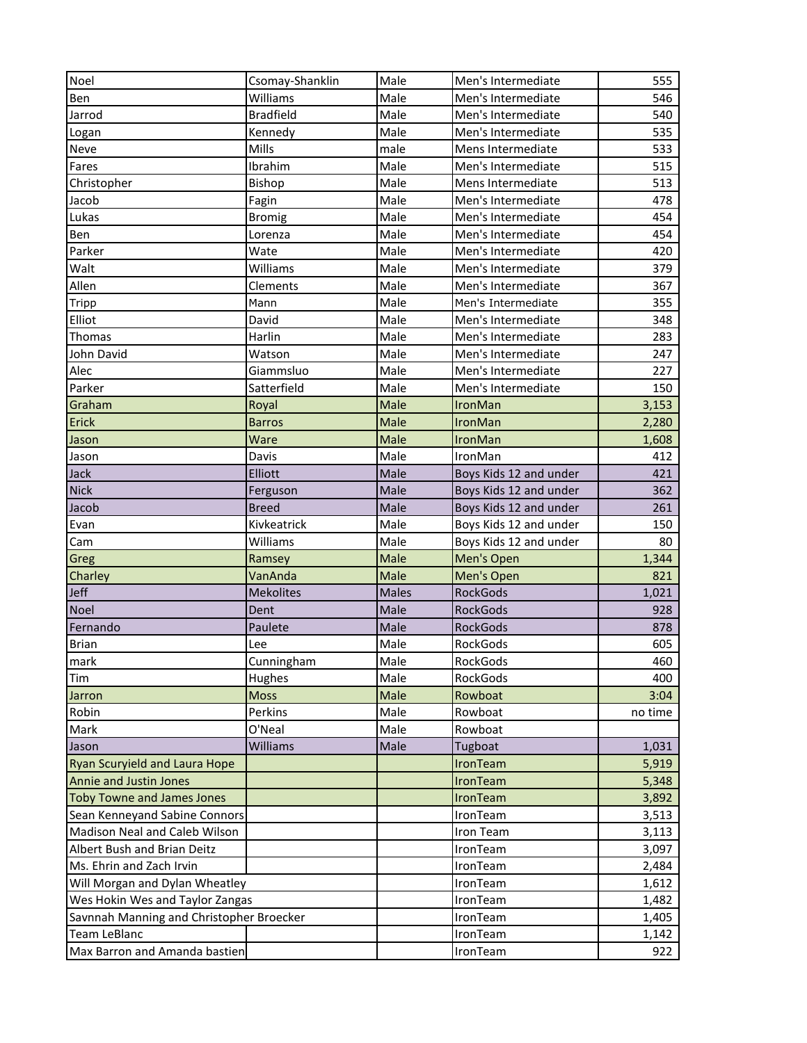| Noel                                     | Csomay-Shanklin  | Male         | Men's Intermediate     | 555     |
|------------------------------------------|------------------|--------------|------------------------|---------|
| Ben                                      | Williams         | Male         | Men's Intermediate     | 546     |
| Jarrod                                   | <b>Bradfield</b> | Male         | Men's Intermediate     | 540     |
| Logan                                    | Kennedy          | Male         | Men's Intermediate     | 535     |
| Neve                                     | Mills            | male         | Mens Intermediate      | 533     |
| Fares                                    | Ibrahim          | Male         | Men's Intermediate     | 515     |
| Christopher                              | Bishop           | Male         | Mens Intermediate      | 513     |
| Jacob                                    | Fagin            | Male         | Men's Intermediate     | 478     |
| Lukas                                    | <b>Bromig</b>    | Male         | Men's Intermediate     | 454     |
| Ben                                      | Lorenza          | Male         | Men's Intermediate     | 454     |
| Parker                                   | Wate             | Male         | Men's Intermediate     | 420     |
| Walt                                     | Williams         | Male         | Men's Intermediate     | 379     |
| Allen                                    | Clements         | Male         | Men's Intermediate     | 367     |
| Tripp                                    | Mann             | Male         | Men's Intermediate     | 355     |
| Elliot                                   | David            | Male         | Men's Intermediate     | 348     |
| Thomas                                   | Harlin           | Male         | Men's Intermediate     | 283     |
| John David                               | Watson           | Male         | Men's Intermediate     | 247     |
| Alec                                     | Giammsluo        | Male         | Men's Intermediate     | 227     |
| Parker                                   | Satterfield      | Male         | Men's Intermediate     | 150     |
| Graham                                   | Royal            | Male         | IronMan                | 3,153   |
| Erick                                    | <b>Barros</b>    | Male         | <b>IronMan</b>         | 2,280   |
| Jason                                    | Ware             | Male         | IronMan                | 1,608   |
| Jason                                    | Davis            | Male         | IronMan                | 412     |
| Jack                                     | Elliott          | Male         | Boys Kids 12 and under | 421     |
| <b>Nick</b>                              | Ferguson         | Male         | Boys Kids 12 and under | 362     |
| Jacob                                    | <b>Breed</b>     | Male         | Boys Kids 12 and under | 261     |
| Evan                                     | Kivkeatrick      | Male         | Boys Kids 12 and under | 150     |
| Cam                                      | Williams         | Male         | Boys Kids 12 and under | 80      |
| Greg                                     | Ramsey           | Male         | Men's Open             | 1,344   |
| Charley                                  | VanAnda          | Male         | Men's Open             | 821     |
| <b>Jeff</b>                              | <b>Mekolites</b> | <b>Males</b> | <b>RockGods</b>        | 1,021   |
| Noel                                     | Dent             | Male         | <b>RockGods</b>        | 928     |
| Fernando                                 | Paulete          | Male         | <b>RockGods</b>        | 878     |
| <b>Brian</b>                             | Lee              | Male         | RockGods               | 605     |
| mark                                     | Cunningham       | Male         | RockGods               | 460     |
| Tim                                      | Hughes           | Male         | RockGods               | 400     |
| Jarron                                   | <b>Moss</b>      | Male         | Rowboat                | 3:04    |
| Robin                                    | Perkins          | Male         | Rowboat                | no time |
| Mark                                     | O'Neal           | Male         | Rowboat                |         |
| Jason                                    | Williams         | Male         | Tugboat                | 1,031   |
| <b>Ryan Scuryield and Laura Hope</b>     |                  |              | IronTeam               | 5,919   |
| <b>Annie and Justin Jones</b>            |                  |              | IronTeam               | 5,348   |
| <b>Toby Towne and James Jones</b>        |                  |              | IronTeam               | 3,892   |
| Sean Kenneyand Sabine Connors            |                  |              | IronTeam               | 3,513   |
| Madison Neal and Caleb Wilson            |                  |              | Iron Team              | 3,113   |
| Albert Bush and Brian Deitz              |                  |              | IronTeam               | 3,097   |
| Ms. Ehrin and Zach Irvin                 |                  |              | IronTeam               | 2,484   |
| Will Morgan and Dylan Wheatley           |                  |              | IronTeam               | 1,612   |
| Wes Hokin Wes and Taylor Zangas          |                  |              | IronTeam               | 1,482   |
| Savnnah Manning and Christopher Broecker |                  |              | IronTeam               | 1,405   |
| <b>Team LeBlanc</b>                      |                  |              | IronTeam               | 1,142   |
| Max Barron and Amanda bastien            |                  |              | IronTeam               | 922     |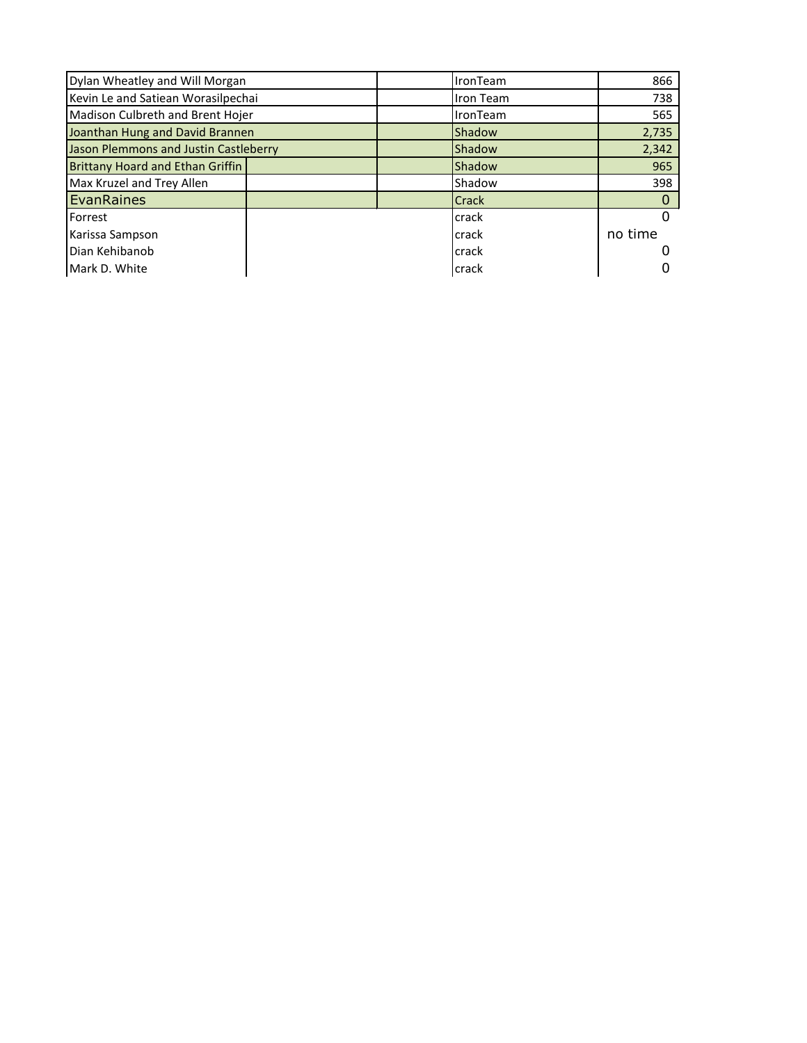| Dylan Wheatley and Will Morgan        |  | <b>IronTeam</b> | 866              |         |
|---------------------------------------|--|-----------------|------------------|---------|
| Kevin Le and Satiean Worasilpechai    |  |                 | <b>Iron Team</b> | 738     |
| Madison Culbreth and Brent Hojer      |  |                 | <b>IronTeam</b>  | 565     |
| Joanthan Hung and David Brannen       |  |                 | Shadow           | 2,735   |
| Jason Plemmons and Justin Castleberry |  |                 | Shadow           | 2,342   |
| Brittany Hoard and Ethan Griffin      |  |                 | Shadow           | 965     |
| Max Kruzel and Trey Allen             |  |                 | Shadow           | 398     |
| EvanRaines                            |  |                 | <b>Crack</b>     |         |
| Forrest                               |  |                 | crack            |         |
| Karissa Sampson                       |  |                 | crack            | no time |
| Dian Kehibanob                        |  |                 | crack            |         |
| Mark D. White                         |  |                 | crack            |         |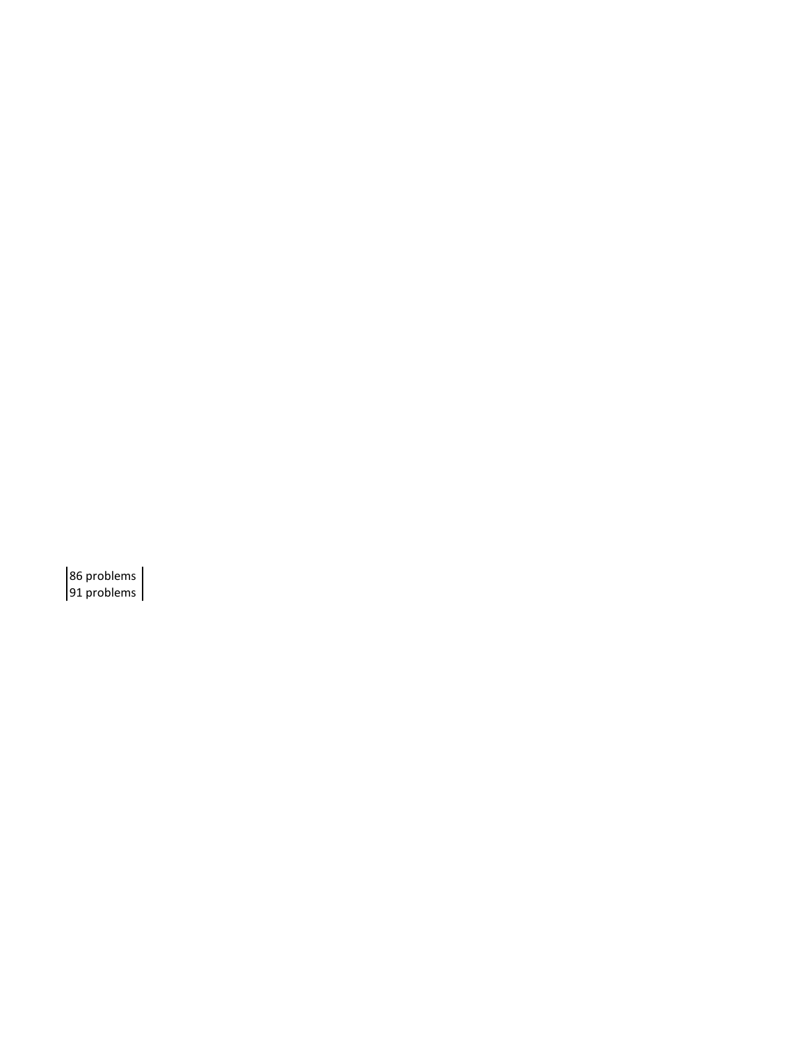86 problems 91 problems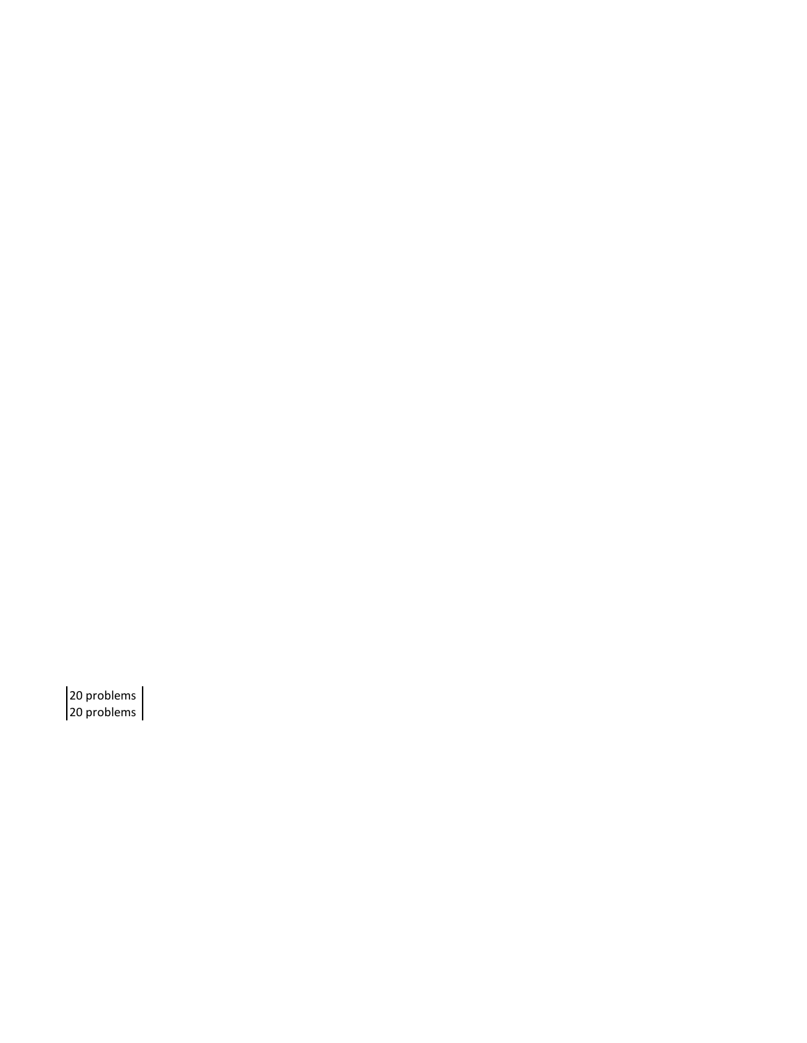20 problems 20 problems